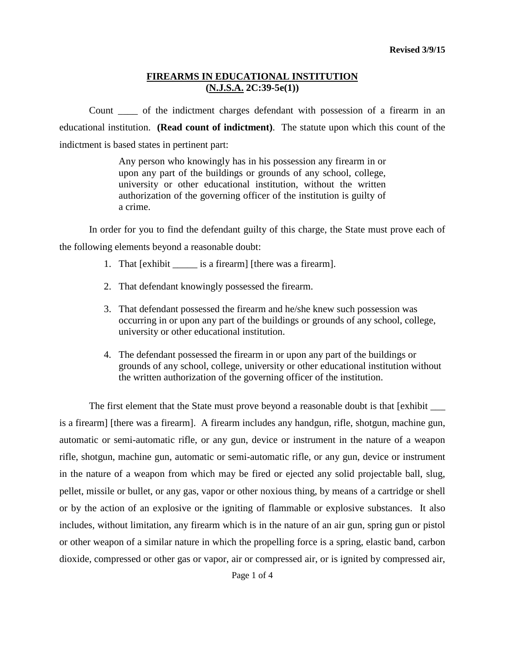## **FIREARMS IN EDUCATIONAL INSTITUTION (N.J.S.A. 2C:39-5e(1))**

Count \_\_\_\_ of the indictment charges defendant with possession of a firearm in an educational institution. **(Read count of indictment)**. The statute upon which this count of the indictment is based states in pertinent part:

> Any person who knowingly has in his possession any firearm in or upon any part of the buildings or grounds of any school, college, university or other educational institution, without the written authorization of the governing officer of the institution is guilty of a crime.

In order for you to find the defendant guilty of this charge, the State must prove each of the following elements beyond a reasonable doubt:

- 1. That [exhibit \_\_\_\_\_ is a firearm] [there was a firearm].
- 2. That defendant knowingly possessed the firearm.
- 3. That defendant possessed the firearm and he/she knew such possession was occurring in or upon any part of the buildings or grounds of any school, college, university or other educational institution.
- 4. The defendant possessed the firearm in or upon any part of the buildings or grounds of any school, college, university or other educational institution without the written authorization of the governing officer of the institution.

The first element that the State must prove beyond a reasonable doubt is that [exhibit \_\_\_\_\_ is a firearm] [there was a firearm]. A firearm includes any handgun, rifle, shotgun, machine gun, automatic or semi-automatic rifle, or any gun, device or instrument in the nature of a weapon rifle, shotgun, machine gun, automatic or semi-automatic rifle, or any gun, device or instrument in the nature of a weapon from which may be fired or ejected any solid projectable ball, slug, pellet, missile or bullet, or any gas, vapor or other noxious thing, by means of a cartridge or shell or by the action of an explosive or the igniting of flammable or explosive substances. It also includes, without limitation, any firearm which is in the nature of an air gun, spring gun or pistol or other weapon of a similar nature in which the propelling force is a spring, elastic band, carbon dioxide, compressed or other gas or vapor, air or compressed air, or is ignited by compressed air,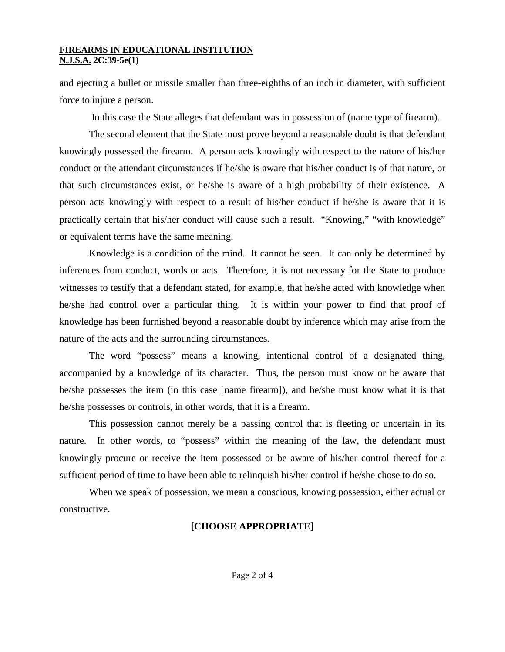#### **FIREARMS IN EDUCATIONAL INSTITUTION N.J.S.A. 2C:39-5e(1)**

and ejecting a bullet or missile smaller than three-eighths of an inch in diameter, with sufficient force to injure a person.

In this case the State alleges that defendant was in possession of (name type of firearm).

The second element that the State must prove beyond a reasonable doubt is that defendant knowingly possessed the firearm. A person acts knowingly with respect to the nature of his/her conduct or the attendant circumstances if he/she is aware that his/her conduct is of that nature, or that such circumstances exist, or he/she is aware of a high probability of their existence. A person acts knowingly with respect to a result of his/her conduct if he/she is aware that it is practically certain that his/her conduct will cause such a result. "Knowing," "with knowledge" or equivalent terms have the same meaning.

Knowledge is a condition of the mind. It cannot be seen. It can only be determined by inferences from conduct, words or acts. Therefore, it is not necessary for the State to produce witnesses to testify that a defendant stated, for example, that he/she acted with knowledge when he/she had control over a particular thing. It is within your power to find that proof of knowledge has been furnished beyond a reasonable doubt by inference which may arise from the nature of the acts and the surrounding circumstances.

The word "possess" means a knowing, intentional control of a designated thing, accompanied by a knowledge of its character. Thus, the person must know or be aware that he/she possesses the item (in this case [name firearm]), and he/she must know what it is that he/she possesses or controls, in other words, that it is a firearm.

This possession cannot merely be a passing control that is fleeting or uncertain in its nature. In other words, to "possess" within the meaning of the law, the defendant must knowingly procure or receive the item possessed or be aware of his/her control thereof for a sufficient period of time to have been able to relinquish his/her control if he/she chose to do so.

When we speak of possession, we mean a conscious, knowing possession, either actual or constructive.

# **[CHOOSE APPROPRIATE]**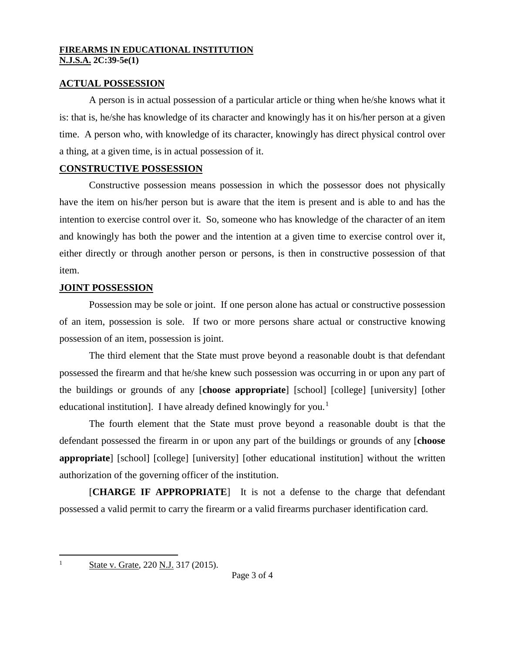#### **FIREARMS IN EDUCATIONAL INSTITUTION N.J.S.A. 2C:39-5e(1)**

### **ACTUAL POSSESSION**

A person is in actual possession of a particular article or thing when he/she knows what it is: that is, he/she has knowledge of its character and knowingly has it on his/her person at a given time. A person who, with knowledge of its character, knowingly has direct physical control over a thing, at a given time, is in actual possession of it.

### **CONSTRUCTIVE POSSESSION**

Constructive possession means possession in which the possessor does not physically have the item on his/her person but is aware that the item is present and is able to and has the intention to exercise control over it. So, someone who has knowledge of the character of an item and knowingly has both the power and the intention at a given time to exercise control over it, either directly or through another person or persons, is then in constructive possession of that item.

# **JOINT POSSESSION**

Possession may be sole or joint. If one person alone has actual or constructive possession of an item, possession is sole. If two or more persons share actual or constructive knowing possession of an item, possession is joint.

The third element that the State must prove beyond a reasonable doubt is that defendant possessed the firearm and that he/she knew such possession was occurring in or upon any part of the buildings or grounds of any [**choose appropriate**] [school] [college] [university] [other educational institution]. I have already defined knowingly for you.<sup>[1](#page-2-0)</sup>

The fourth element that the State must prove beyond a reasonable doubt is that the defendant possessed the firearm in or upon any part of the buildings or grounds of any [**choose appropriate** [school] [college] [university] [other educational institution] without the written authorization of the governing officer of the institution.

[**CHARGE IF APPROPRIATE**] It is not a defense to the charge that defendant possessed a valid permit to carry the firearm or a valid firearms purchaser identification card.

 $\overline{a}$ 

<span id="page-2-0"></span><sup>1</sup> State v. Grate, 220 N.J. 317 (2015).